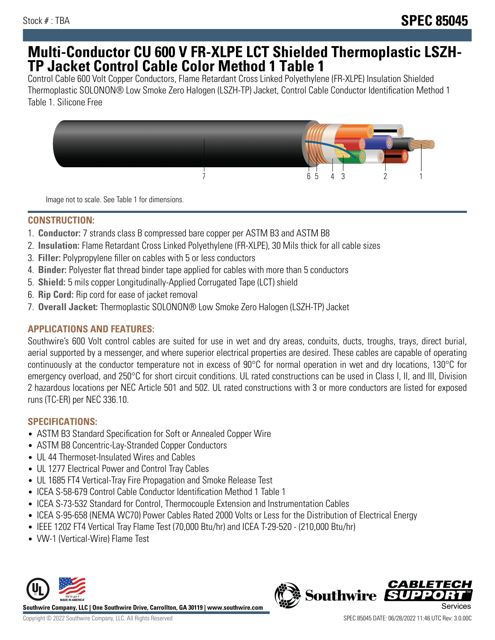# **Multi-Conductor CU 600 V FR-XLPE LCT Shielded Thermoplastic LSZH-TP Jacket Control Cable Color Method 1 Table 1**

Control Cable 600 Volt Copper Conductors, Flame Retardant Cross Linked Polyethylene (FR-XLPE) Insulation Shielded Thermoplastic SOLONON® Low Smoke Zero Halogen (LSZH-TP) Jacket, Control Cable Conductor Identification Method 1 Table 1. Silicone Free



Image not to scale. See Table 1 for dimensions.

### **CONSTRUCTION:**

- 1. **Conductor:** 7 strands class B compressed bare copper per ASTM B3 and ASTM B8
- 2. **Insulation:** Flame Retardant Cross Linked Polyethylene (FR-XLPE), 30 Mils thick for all cable sizes
- 3. **Filler:** Polypropylene filler on cables with 5 or less conductors
- 4. **Binder:** Polyester flat thread binder tape applied for cables with more than 5 conductors
- 5. **Shield:** 5 mils copper Longitudinally-Applied Corrugated Tape (LCT) shield
- 6. **Rip Cord:** Rip cord for ease of jacket removal
- 7. **Overall Jacket:** Thermoplastic SOLONON® Low Smoke Zero Halogen (LSZH-TP) Jacket

# **APPLICATIONS AND FEATURES:**

Southwire's 600 Volt control cables are suited for use in wet and dry areas, conduits, ducts, troughs, trays, direct burial, aerial supported by a messenger, and where superior electrical properties are desired. These cables are capable of operating continuously at the conductor temperature not in excess of 90°C for normal operation in wet and dry locations, 130°C for emergency overload, and 250°C for short circuit conditions. UL rated constructions can be used in Class I, II, and III, Division 2 hazardous locations per NEC Article 501 and 502. UL rated constructions with 3 or more conductors are listed for exposed runs (TC-ER) per NEC 336.10.

# **SPECIFICATIONS:**

- ASTM B3 Standard Specification for Soft or Annealed Copper Wire
- ASTM B8 Concentric-Lay-Stranded Copper Conductors
- UL 44 Thermoset-Insulated Wires and Cables
- UL 1277 Electrical Power and Control Tray Cables
- UL 1685 FT4 Vertical-Tray Fire Propagation and Smoke Release Test
- ICEA S-58-679 Control Cable Conductor Identification Method 1 Table 1
- ICEA S-73-532 Standard for Control, Thermocouple Extension and Instrumentation Cables
- ICEA S-95-658 (NEMA WC70) Power Cables Rated 2000 Volts or Less for the Distribution of Electrical Energy
- IEEE 1202 FT4 Vertical Tray Flame Test (70,000 Btu/hr) and ICEA T-29-520 (210,000 Btu/hr)
- VW-1 (Vertical-Wire) Flame Test



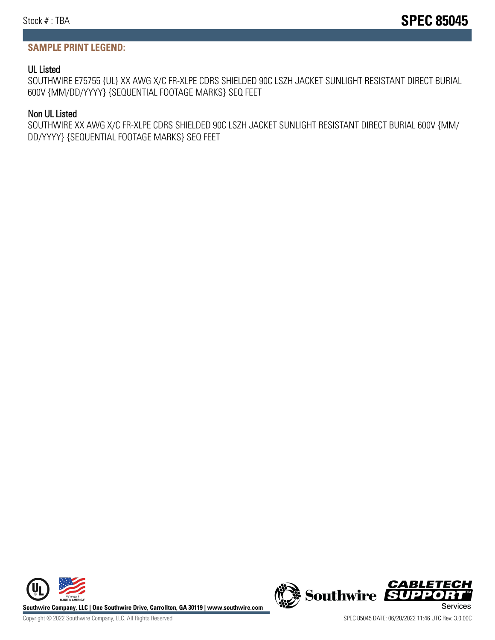#### **SAMPLE PRINT LEGEND:**

#### UL Listed

SOUTHWIRE E75755 {UL} XX AWG X/C FR-XLPE CDRS SHIELDED 90C LSZH JACKET SUNLIGHT RESISTANT DIRECT BURIAL 600V {MM/DD/YYYY} {SEQUENTIAL FOOTAGE MARKS} SEQ FEET

#### Non UL Listed

SOUTHWIRE XX AWG X/C FR-XLPE CDRS SHIELDED 90C LSZH JACKET SUNLIGHT RESISTANT DIRECT BURIAL 600V {MM/ DD/YYYY} {SEQUENTIAL FOOTAGE MARKS} SEQ FEET